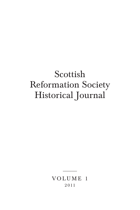# Scottish Reformation Society Historical Journal

VOLUME 1 2 011

––––––––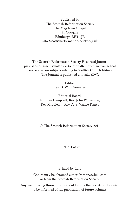Published by The Scottish Reformation Society The Magdalen Chapel 41 Cowgate Edinburgh EH1 1JR info@scottishreformationsociety.org.uk

The Scottish Reformation Society Historical Journal publishes original, scholarly articles written from an evangelical perspective, on subjects relating to Scottish Church history. The Journal is published annually (DV).

> Editor: Rev. D. W. B. Somerset

Editorial Board: Norman Campbell, Rev. John W. Keddie, Roy Middleton, Rev. A. S. Wayne Pearce

© The Scottish Reformation Society 2011

#### ISSN 2045-4570

Printed by Lulu

Copies may be obtained either from www.lulu.com or from the Scottish Reformation Society.

Anyone ordering through Lulu should notify the Society if they wish to be informed of the publication of future volumes.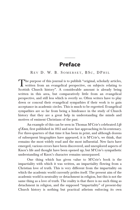### **Preface**

\_\_\_\_\_\_

REV D. W. B. SOMERSET, BSC, DPHIL

The purpose of this journal is to publish "original, scholarly articles,<br>written from an evangelical perspective, on subjects relating to Scottish Church history". A considerable amount is already being written in this area, but comparatively little from an evangelical perspective, and still less which is overtly so. Often writers have to play down or conceal their evangelical sympathies if their work is to gain acceptance in academic circles. This is much to be regretted. Evangelical sympathies are so far from being a hindrance in the study of Church history that they are a great help in understanding the minds and motives of eminent Christians of the past.

An example of this can be seen in Thomas M'Crie's celebrated *Life of Knox,* first published in 1812 and now fast approaching its bi-centenary. For three-quarters of that time it has been in print, and although dozens of subsequent biographies have appeared, it is M'Crie's, we think, that remains the most widely read and the most influential. New facts have emerged, various errors have been discovered, and unexplored aspects of Knox's life and thought have been opened up; but M'Crie's sympathetic understanding of Knox's character remains unsurpassed.

One thing which has given value to M'Crie's book is the impartiality with which it was written, an impartiality flowing from a Christian love of truth. This is very different from the impartiality on which the academic world currently prides itself. The present aim of the academic world is neutrality or detachment in religion, but this is not the same thing as a love of truth. The reality is that there is no such thing as detachment in religion, and the supposed "impartiality" of present-day Church history is nothing but practical atheism enforcing its own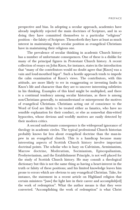perspective and bias. In adopting a secular approach, academics have already implicitly rejected the main doctrines of Scripture, and in so doing they have committed themselves to a particular "religious" position – the falsity of Scripture. Thenceforth they have at least as much interest in maintaining their secular position as evangelical Christians have in maintaining their religious one.

The prevalence of secular thinking in academic Church history has a number of unfortunate consequences. One of these is a dislike for many of the principal figures in Protestant Church history. A recent collection of essays on John Knox, for instance, states in the introduction that "many of the contributors would no doubt agree that [Knox] was a vain and loud-mouthed bigot". Such a hostile approach tends to impede the calm examination of Knox's views. The contributors, with this attitude, are more likely to err in exaggerating or inventing faults in Knox's life and character than they are to uncover interesting subtleties in his thinking. Examples of this kind might be multiplied, and there is a continual tendency among secular historians, as there is among non-Christians generally, to misunderstand or misrepresent the motives of evangelical Christians. Christians acting out of conscience to the Word of God are likely to be treated either as fanatics, who have no sensible explanation for their conduct, or else as somewhat dim-witted hypocrites, whose devious and worldly motives are easily detected by their modern critics.

A second unfortunate consequence is the widespread ignorance of theology in academic circles. The typical professional Church historian probably knows far less about evangelical doctrine than the man-inpew in an evangelical church. This is a handicap because many interesting aspects of Scottish Church history involve important doctrinal points. The scholar who is hazy on Calvinism, Arminianism, Marrow doctrine, Moderatism, Socinianism, Episcopalianism, Presbyterianism, and the Establishment Principle, is not well placed for the study of Scottish Church history. He may consult a theological dictionary but this is not the same thing as having a heart-interest in the truth or falsity of these positions; and his limited knowledge leaves him prone to errors which are obvious to any evangelical Christian. Take, for instance, the statement in a recent article on Highland religion that certain ministers "[saw] the light late in their career and accomplish[ed] the work of redemption". What the author means is that they were converted. "Accomplishing the work of redemption" is what Christ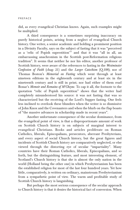did, as every evangelical Christian knows. Again, such examples might be multiplied.

A third consequence is a sometimes surprising inaccuracy on purely historical points, arising from a neglect of evangelical Church history. One writer, a senior academic and holding a prominent position in a Divinity Faculty, says on the subject of fasting that it was "perceived as a 'relic of Popish superstition'" and that it was "all in all, an embarrassing anachronism in the Scottish post-Reformation religious tradition". It seems that neither he nor his editor, another professor of Scottish history, were aware of the references to fasting in the *Westminster Confession of Faith* (chap 21) and the *Larger Catechism* (Q.108); nor of Thomas Boston's *Memorial on Fasting* which went through at least nineteen editions in the eighteenth century and at least six in the nineteenth century and is still in print; nor had either of them read Bonar's *Memoir and Remains of M'Cheyne.* To cap it all, the footnote to the quotation "relic of Popish superstition" shows that the writer had completely misunderstood his source: it was not fasting that was so characterized but the receiving of the Lord's Supper fasting. One feels less inclined to overlook these blunders when the writer is so dismissive of John Knox and the Covenanters and when the blurb on the flap boasts of "the massive advances in scholarship made in recent years".

Another unfortunate consequence of the secular dominance, from the evangelical point of view, is that a disproportionate amount of work on Scottish Church history is on subjects of marginal interest to evangelical Christians. Books and articles proliferate on Roman Catholics, liberals, Episcopalians, persecutors, aberrant Presbyterians, and every aspect of social Church history, but the great figures and incidents of Scottish Church history are comparatively neglected, or else viewed through the distorting eye of secular "impartiality". Many countries have their Roman Catholics, liberals, Episcopalians, and so forth, but the distinguishing feature, and most interesting element, of Scotland's Church history is that she is almost the only nation in the world (Holland being the other one) in which Presbyterianism has been the established religion for most of the last four hundred years. Yet how little, comparatively, is written on ordinary, mainstream Presbyterianism from a sympathetic point of view. The warm and profitable study of Scottish Church history is languishing.

But perhaps the most serious consequence of the secular approach to Church history is that it denies the historical fact of conversion. When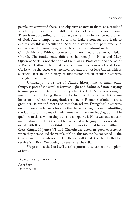people are converted there is an objective change in them, as a result of which they think and behave differently. Saul of Tarsus is a case in point. There is no accounting for this change other than by a supernatural act of God. Any attempt to do so is historically erroneous and leads to endless worthless speculation. Secular historians are perplexed and embarrassed by conversion, but such perplexity is absurd in the study of Church history. Without conversion, there would be no Christian Church. The fundamental difference between John Knox and Mary Queen of Scots is not that one of them was a Protestant and the other a Roman Catholic, but that one of them was converted and loved Christ while the other was unconverted and did not love Christ. This is a crucial fact in the history of that period which secular historians struggle to assimilate.

Ultimately, the writing of Church history, like so many other things, is part of the conflict between light and darkness. Satan is trying to misrepresent the truths of history while the Holy Spirit is working in men's minds to bring these truths to light. In this conflict, some historians – whether evangelical, secular, or Roman Catholic – are a great deal fairer and more accurate than others. Evangelical historians ought to excel in fairness because they have nothing to lose in admitting the faults and mistakes of their heroes or in acknowledging admirable qualities in those whom they otherwise deplore. If Knox was indeed vain and loud-mouthed, let the fact be conceded – the gospel does not stand or fall with Knox; but we think, on consideration, that he was neither of these things. If James VI and Claverhouse acted in good conscience when they persecuted the people of God, this too can be conceded – "the time cometh, that whosoever killeth you will think that he doeth God service" (Jn 16:2). We doubt, however, that they did.

We pray that the Lord will use this journal to advance the kingdom of light.

DOUGLAS SOMERSET Aberdeen December 2010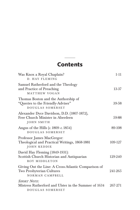# **Contents**

\_\_\_\_\_\_

| Was Knox a Royal Chaplain?<br>D. HAY FLEMING                                                        | $1 - 11$ |
|-----------------------------------------------------------------------------------------------------|----------|
| Samuel Rutherford and the Theology<br>and Practice of Preaching<br>MATTHEW VOGAN                    | 13-37    |
| Thomas Boston and the Authorship of<br>"Queries to the Friendly-Adviser"<br>DOUGLAS SOMERSET        | 39-58    |
| Alexander Dyce Davidson, D.D. (1807-1872),<br>Free Church Minister in Aberdeen<br><b>JOHN SMITH</b> | 59-88    |
| Angus of the Hills $(c. 1809-c. 1854)$<br>DOUGLAS SOMERSET                                          | 89-108   |
| Professor James MacGregor:<br>Theological and Practical Writings, 1868-1881<br>JOHN KEDDIE          | 109-127  |
| David Hay Fleming (1849-1931):<br>Scottish Church Historian and Antiquarian<br>ROY MIDDLETON        | 129-240  |
| Giving Out the Line: A Cross-Atlantic Comparison of<br>Two Presbyterian Cultures<br>NORMAN CAMPBELL | 241-265  |
| <b>SHORT NOTE:</b><br>Mistress Rutherford and Ulster in the Summer of 1634<br>DOUGLAS SOMERSET      | 267-271  |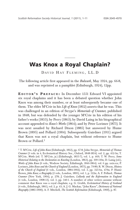## **Was Knox a Royal Chaplain?**

\_\_\_\_\_\_

DAVID HAY FLEMING, LL.D

The following article first appeared in the *Bulwark*, May 1924, pp. 66-8, and was reprinted as a pamphlet (Edinburgh, 1924), 12pp.

**E DITOR ' S P REFACE :** In December 1551 Edward VI appointed six royal chaplains and it has been a debated question whether John Knox was among their number, or at least subsequently became one of them. The elder M'Crie in his *Life of Knox* (1812) asserts that he was. This was challenged in an edition of Strype's *Memorials of Cranmer,* published in 1848, but was defended by the younger M'Crie in his edition of his father's works (1855); by Perry (1863); by David Laing in his biographical account appended to *Knox's Works* (1864); and by Peter Lorimer (1875). It was next assailed by Richard Dixon (1885) but answered by Hume Brown (1895) and Pollard (1904). Subsequently Gairdner (1911) argued that Knox was not a royal chaplain, but without reference to Hume Brown or Pollard.1

<sup>1</sup> T. M'Crie, *Life of John Knox* (Edinburgh, 1812), pp. 67-8; John Strype, *Memorials of Thomas Cranmer* (3 vols. in 4, Ecclesiastical History Soc., Oxford, 1848-1854). vol. 2, pp. 412-3n; T. M'Crie, *Works* (ed. T. M'Crie, jr.) (Edinburgh, 1855-7), vol. 1, p. 469; T. W. Perry, *Some Historical Relating to the Declaration on Kneeling* (London, 1863), pp. 109-110n; D. Laing (ed.), *Works of John Knox* (6 vols., Wodrow Society, Edinburgh, 1846-1864). vol. 6 pp. xxix-xx; P. Lorimer, *John Knox and the Church of England* (London, 1875), pp. 79-80; R. W. Dixon, *History of the Church of England* (6 vols., London, 1884-1902), vol. 3, pp. 325-6n, 479n; P. Hume Brown, *John Knox; a Biography* (2 vols., London, 1895), vol. 1, p. 122n; A. F. Pollard, *Thomas Cranmer* (New York, 1904), p. 278; J. Gairdner, *Lollardy and the Reformation in England* (4 vols., London, 1908-13), vol. 3, pp. 340-1. A number of other writers assume without comment that Knox was a royal chaplain; e.g. G. Grubb, *Ecclesiastical History of Scotland* (4 vols., Edinburgh, 1861), vol. 2, p. 43; A. J. G. Mackay, "John Knox", *Dictionary of National Biography* (1885-1900); A. F. Mitchell, *The Scottish Reformation* (Edinburgh, 1900), p. 87.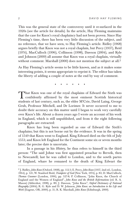This was the general state of the controversy until it re-surfaced in the 1920s (see the article for details). In the article, Hay Fleming maintains that the case for Knox's royal chaplaincy had not been proven. Since Hay Fleming's time, there has been very little discussion of the subject, and no reference, that we have seen, to Hay Fleming's article. Ridley (1968) argues briefly that Knox was not a royal chaplain, but Percy (1937), Reid (1974), MacCulloch (1996), Collinson (1998), Dawson (2004), and Kyle and Johnson (2009) all assume that Knox was a royal chaplain, virtually without comment. Marshall  $(2000)$  does not mention the subject at all.<sup>2</sup>

As Hay Fleming's article seems to be little known, and as it makes some interesting points, it seems appropriate to reprint it. The editor has taken the liberty of adding a couple of notes at the end by way of comment.

• •••••

That Knox was one of the royal chaplains of Edward the Sixth was<br>confidently affirmed by the most eminent Scottish historical students of last century, such as, the elder M'Crie, David Laing, George Grub, Professor Mitchell, and Dr Lorimer. It never occurred to me to doubt their accuracy on this matter until I began to work very carefully over Knox's life. About a dozen years ago I wrote an account of his work in England, which is still unpublished, and from it the eight following paragraphs are extracted:

Knox has long been regarded as one of Edward the Sixth's chaplains; but this is not borne out by the evidence. It was in the spring of 1549 that Knox went to England. King Edward died on the 6th of July 1553; and Knox left England for the Continent some six or seven months later; the precise date is uncertain.

In a passage in his *History*, he thus refers to himself in the third person: "The said Johne was first appointed preachar to Berwik, then to Newcastell; last he was called to London, and to the sowth partes of England, whare he remaned to the death of King Edwart the

<sup>2</sup> J. Ridley, *John Knox* (Oxford, 1968), pp. 112-3; E. Percy, *John Knox* (1937, 2nd ed., London, 1964), p. 121; W. Stanford Reid, *Trumpeter of God* (New York, 1974), p. 83; D. MacCulloch, *Thomas Cranmer* (London, 1996), pp. 527-8; P. Collinson, "John Knox, the Church of England and the Women of England", *John Knox and the British Reformations* (ed. R. A. Mason) (Aldershot, 1998), p. 89; J. Dawson, "John Knox", *Oxford Dictionary of National Biography* (2004); R. G. Kyle and D. W. Johnson, *John Knox: an Introduction to his Life and Work* (Eugene, OR, 2009), p. 51; R. K. Marshall, *John Knox* (Edinburgh, 2000).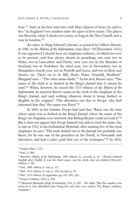Sext."<sup>3</sup> And, in his first interview with Mary Queen of Scots, he said to her: "In England I wes resident onlie the space of fyve yearis. The places war Berwick, whair I abode two yearis; so long in the New Castell; and a year in London." 4

An entry in King Edward's *Journal*, as printed by Gilbert Burnet, in 1681, in his *History of the Reformation,* runs thus: "18 [December 1551.] It was appointed I should have six chaplains ordinary, of which two ever to be present, and four always absent in preaching: one year two in Wales, two in Lancashire and Darby; next year two in the Marches of Scotland, two in Yorkshire; the third year, two in Devonshire, two in Hampshire; fourth year, two in Norfolk and Essex, and two in Kent and Sussex, etc. These six to be Bill, Harle, Peme, Grindall, Bradford." Marginal note – "The other name dasht." 5 In his text, Burnet says: "The name of the sixth is so dashed in the King's *Journal* that it cannot be read." 6 When, however, he issued the 1715 edition of his *History of the Reformation,* he inserted Knox's name as the sixth of the chaplains in the King's *Journal*, and said nothing whatever about it being dashed or illegible in the original.7 This alteration was due to Strype, who had informed him that "the name was Knox".8

In 1694, in his *Cranmer*, Strype had said that "Knox was the man whose name was so dashed in the King's *Journal*, where the name of the King's six chaplains were inserted, that Bishop Burnet could not read it".9 But it does not appear that Strype himself was able to read the name, for, so late as 1721, in his *Ecclesiastical Memorials,* after naming five of the royal chaplains, he says: "The sixth dashed out in the *Journal;* but probably was Knox; for he was one of the preachers in the North, at Newcastle and elsewhere, and had a salary paid him out of the exchequer."10 In 1694,

<sup>3</sup> Laing's *Knox*, i. 231.

<sup>4</sup> ibid., ii. 280.

<sup>5</sup> Burnett's *History of the Reformation,* 1681 edition, ii., records, p. 42 – Burnet omitted *Soutfolk* after *Norfolk*. It was the third name, not the sixth, that was deleted (Pocock's edition, v. 59).

 $6$  ibid., 1681 edition, ii. text, p. 171.

<sup>7</sup> ibid., 1715 edition, ii. text, p. 162; records, p. 39.

<sup>8</sup> ibid., 1715 edition, iii. appendix, pp. 415, 420, 423.

<sup>9</sup> Strype's *Cranmer*, 1694, p. 292.

<sup>10</sup> *Historical Memorials chiefly Ecclesiastical,* 1721, ii. 297 – He adds: "But the number was reduced to four (Bradford also being left out) who were styled, The King's ordinary chaplains."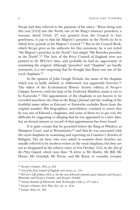Strype had thus referred to the payment of his salary: "Knox being sent this year [1552] into the North, one of the King's itinerary preachers, a warrant, dated Octob. 27, was granted from the Council to four gentlemen, to pay to him his Majesty's preacher in the North (so he is stiled) forty pounds as his Majesty's reward."11 But in the Council Book, which Strype gives as his authority for this statement, he is not styled "his Majesty's preacher in the North"; but simply "Mr Knookes preacher in the North".12 The Acts of the Privy Council of England were not printed in Dr M'Crie's time, and probably he had no opportunity of examining the original. Although "preacher" and "chaplain" are hardly synonyms, it is not surprising that he thought that Knox was one of the royal chaplains.13

In the opinion of John Gough Nichols, the name of the chaplain which was so badly dashed, or obliterated, was apparently Estcourt.<sup>14</sup> The editor of the Ecclesiastical History Society edition of Strype's *Cranmer*, however, with the help of Sir Frederick Madden, made it out to be Eastwicke.15 The appointment of the chaplains is not known to be recorded anywhere else than in the King's *Journal;* and the reading of the doubtful name either as Estcourt or Eastwicke excludes Knox from the original number. His biographers, nevertheless, continue to assert that he was one of Edward s chaplains; and some of them try to get over the difficulty by suggesting or alleging that he was appointed at a later date; but no formal minute or record of that appointment has been found.

It is quite certain that he preached before the King at Windsor, at Hampton Court, and at Westminster;<sup>16</sup> and that he was associated with the royal chaplains in examining and reporting on Cranmer's Articles of Religion. The six men, who were asked to examine these Articles, are usually referred to by modern writers as the royal chaplains; but they are not so designated in the relative entry of 21st October 1552, in the *Acts of the Privy Council,* which runs thus: "A lettre to Mr Harley, Mr Bill, Mr Horne, Mr Grindall, Mr Percie, and Mr Knox, to consider certaine

<sup>11</sup> Strype's *Cranmer*, 1694, p. 292.

<sup>12</sup> *Acts of the Privy Council of England,* new series, iv., 154.

<sup>13</sup> M'Crie's *Life of Knox,* 1812, p. 68. He cites Edward's *Journal*, apud. Burnet; and Strype's *Memorials*, and Strype's *Cranmer*, and Strype's *Grindal*.

<sup>14</sup> *Literary Remains of Edward the Sixth.* Roxburghe Club, p. 377 and n.

<sup>15</sup> Strype's *Cranmer*, Eccl. Hist. Soc. ed., ii., 413n.

<sup>16</sup> Laing's *Knox*, iii., 168.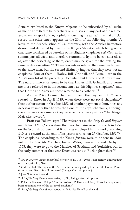Articles exhibited to the Kinges Majestie, to be subscribed by all suche as shalbe admitted to be preachers or ministres in any part of the realme, and to make report of theyr opinions touching the same."<sup>17</sup> In that official record this other entry appears on the 20th of the following month: "A lettre to the Archebusshop of Cauntorbury, with the Articles heretofore drawen and delivered by hym to the Kinges Majestie, which being sence that tyme considered be certeine of his Highnes chaplenes *and others,* ar in summe part all tried, and therefore returned to hym to be considered, so as, after the perfecting of them, ordre may be given for the putting the same in due execution."18 These two entries refer to the same matter, and to the same men, but the second distinctly implies that they were not all chaplains. Four of them – Harley, Bill, Grindall, and Perne – are in the King's own list of the preceding December, but Home and Knox are not. The natural inference seems to be that Harley, Bill, Grindall, and Perne are those referred to in the second entry as "his Highnes chaplenes", and that Horne and Knox are those referred to as "others".19

As the Privy Council had authorised the payment of  $\pounds 5$  as a reward to Knox in April 1549, when there were no royal chaplains,  $20$ their authorisation in October 1552, of another payment to him, does not necessarily imply that he was then one of the royal chaplains, although the sum was the same as they received, and was paid as "the Kinges Majesties reward".

Professor Pollard says: "The references in the *Privy Council Register* and Edward VI's *Journal* show that two chaplains were to preach in 1552 on the Scottish borders; that Knox was employed in this work, receiving £40 as a reward at the end of his year's service, on 27 October,  $1552.^{v21}$ The chaplains, according to the King's *Journal*, were to be sent in 1552, not to the Scottish Marches, but to Wales, Lancashire and Derby. In 1553, they were to go to the Marches of Scotland and Yorkshire, but in the early summer of that year Knox was sent to Buckinghamshire.<sup>22</sup>

<sup>17</sup> *Acts of the Privy Council of England,* new series, iv., 148 – *Percie* is apparently a misreading of, or misprint for, *Perne*.

<sup>18</sup> ibid., iv., 173. The copy of the Articles, in Latin, signed by Harley, Bill, Horne, Perne, Grindal, and Knox, is still preserved (Laing's *Knox*, vi., p. xxx.).

<sup>19</sup> [See Note A at the end.]

<sup>20</sup> *Acts of the Privy Council,* new series, ii., 274; Laing's *Knox*, vi., p. xxvi.

<sup>21</sup> Pollard's *Cranmer*, 1904, p. 278n. In Professor Pollard's opinion, "Knox had apparently been appointed one of the six royal chaplains".

<sup>22</sup> *Acts of the Privy Council,* new series, iv., 283. [See Note B at the end.]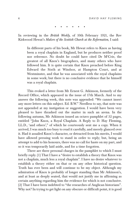••••••

In reviewing in the *British Weekly,* of 10th February 1921, the Rev Kirkwood Hewat's *Makers of the Scottish Church at the Reformation,* I said:

In different parts of his book, Mr Hewat refers to Knox as having been a royal chaplain in England, but he produces neither proof nor reference. No doubt he could have cited Dr M'Crie, the greatest of all Knox's biographers, and many others who have followed him. It is quite certain that Knox preached before King Edward the Sixth at Windsor, at Hampton Court, and at Westminster, and that he was associated with the royal chaplains in some work; but there is no conclusive evidence that he himself was a royal chaplain.

This evoked a letter from Mr Ernest G. Atkinson, formerly of the Record Office, which appeared in the issue of 17th March. And to my answer the following week, this note was appended: "We cannot insert any more letters on this subject. Ed. B.W." Needless to say, that note was not appended at my instigation or suggestion. I would have been very pleased to have thrashed out the matter in such an arena. In the following autumn, Mr Atkinson issued an octavo pamphlet of 32 pages, entitled "John Knox, a Royal Chaplain. A Reply to D. Hay Fleming, LL.D., 'and others'," of which he courteously sent me a copy. When it arrived, I was much too busy to read it carefully, and merely glanced over it. Had it assailed Knox's character, or detracted from his merits, I would have allowed pressing work to stand in order to reply; but, being an attempt to add to his honours, there was no call for haste on my part, and so it was temporarily laid aside, and for a time forgotten.

There are three personal charges in the pamphlet to which I must briefly reply. (1) That I have a "desire to establish a theory that Knox was not a chaplain, much less a royal chaplain". I have no desire whatever to establish a theory either on that or on any other historical question. Truth has ever been and will continue to be my object. Although my admiration of Knox is probably of longer standing than Mr Atkinson's, and at least as deeply seated, that would not justify me in affirming as certain anything regarding him the evidence for which is not conclusive. (2) That I have been indebted to "the researches of Anglican historians". Why not? In trying to get light on any obscure or difficult point, it is good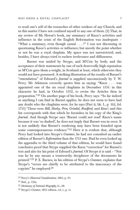to avail one's self of the researches of other workers of any Church; and in this matter I have not confined myself to any one of them. (3) That, in my review of Mr Hewat's book, my summary of Knox's activities and influence in the crisis of the English Reformation was inadequate – "What a summary, even though casual . . . !" I was not discussing or questioning Knox's activities or influence; but merely the point whether or not he was a royal chaplain. My space was not unrestricted; and, besides, I have always tried to eschew irrelevance and diffuseness.

Burnet was misled by Strype; and M'Crie by both; and the acceptance of their statements by one of such deservedly high reputation as M'Crie gave them a weight, in Scotland at least, which otherwise they would not have possessed. A striking illustration of the results of Burnet's "emendation" of Edward's *Journal* is supplied unconsciously by T. W. Perry. Mr Atkinson correctly quotes him as saying: "Knox . . . was appointed one of the six royal chaplains in December 1551: in this character he had, in October 1552, to revise the Articles then in preparation." 23 On another page of his book, Perry says: "So far indeed as anything I can find in Burnet applies, he does not seem to have had any doubt who the chaplains were; for he says (Part ii, bk. I., p. 162, fol. 1715) 'These were *Bill, Harley, Pern, Grindal, Bradford,* and *Knox';* and this list corresponds with that which he furnishes in his copy of the King's *Journal*. And though Strype says 'Burnet could not read' Knox's name because it was 'so dashed', he does not imply that Burnet was in error. It is not unlikely that Burnet's rendering may have been founded upon some contemporaneous evidence." <sup>24</sup> Here it is evident that, although Perry had looked into Strype's *Cranmer*, he had not consulted an earlier edition of Burnet's *Reformation* than the 1715 one. Had he even looked up the appendix to the third volume of that edition, he would have found conclusive proof that Strype supplied the Knox "correction" for Burnet's text and also for his print of Edward's *Journal*. Of Strype it is said – "Nor was he by any means a trustworthy decipherer of the documents he printed." 25 P. E. Barnes, in his edition of Strype's *Cranmer*, explains that Strype's "errors are chiefly to be attributed to the inaccuracy of the copyists" he employed.26

<sup>23</sup> Perry's *Historical Considerations,* 1863, p. 93.

 $24$  ibid., p. 110n.

<sup>25</sup> *Dictionary of National Biography,* lv., 68.

<sup>26</sup> Strype's *Cranmer,* 1853 edition, vol. i., p. vi.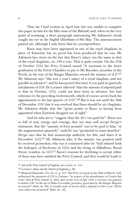Thus far I had written in April last; but was unable to complete this paper in time for the May issue of the *Bulwark;* and, when on the very point of resuming, a short paragraph announcing Mr Atkinson's death caught my eye in the *English Churchman* of 8th May. The announcement pained me, although I only knew him by correspondence.

Knox may have been appointed as one of the royal chaplains in place of Eastwick; but no proof has been produced that he was. Mr Atkinson lays stress on the fact that Knox's salary was the same as that of the royal chaplains, viz.  $£40$  a year. That is quite certain. On the  $27th$ of October 1552 the Privy Council issued "A warraunt to the fowre gentlemen of the Privie Chamber to pay to Mr Knookes, preacher in the North, in the way of the Kinges Majesties reward the summe of xl *li"*. 27 Mr Atkinson says "this was a year's salary of a royal chaplain, and not payable in advance"; and he has proved that later it was paid in quarterly instalments of  $\pounds 10$ . Dr Lorimer inferred "that the amount of stipend paid to him in October, 1552, could not have been in advance, but had reference to the preceding twelvemonth, which of course carries back his appointment to the last quarter of 1551".28 But it was not until the 18th of December 1551 that it was resolved that there should be six chaplains. Mr Atkinson thinks that the "grant points to Knox as having been appointed when Eastwick dropped out of sight".

And he asks me to "suggest what the 40 *l.* was paid for". Knox was so full of zeal, energy and courage, that one may well accept Strype's statement, that the "annuity of forty pounds" was to be paid to him, "at the augmentation quarterly", until he was "promoted to some benefice". Strype says that he had manuscript authority for this, and dates it in December 1552.29 Mr Atkinson asks, if the annuity was granted until he received promotion, why was it continued after he "had refused both the bishopric of Rochester in 1552, and the living of Allhallows, Bread Street, London, in 1553"? Knox's reasons for declining to accept either of these may have satisfied the Privy Council, and they would be loath to

<sup>27</sup> *Acts of the Privy Council of England,* new series, iv., 154.

<sup>28</sup> Lorimer's *Knox and the Church of England,* p. 80.

<sup>29</sup> *Historical Memorials,* 1721 ed., ii., p. 533. The Privy Council on the 28th of March 1549, authorised the payment of £50 to Latimer, "in respect of his attendaunce at Courte this Lent" (*Acts of Privy Council,* ii., 266); and on the 21st of July 1550, a warrant was granted to deliver  $£40$  "to the use of Miles Coverdale, preacher, given him by the Kinges Majestie in rewarde" (ibid., iii., 89). A notable man of service had a stipend of £40 a year "till he were otherwise promoted" (ibid., iii., 30).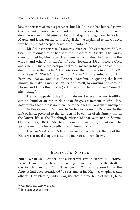lose the services of such a preacher; but Mr Atkinson has himself shown that the last quarter's salary paid to him, five days before the King's death, was due at mid-summer 1553. That quarter began on the 25th of March, and it was on the 14th of April that he explained to the Council why he could not accept a benefice in London.<sup>30</sup>

Mr Atkinson refers to Cranmer's letter, of 19th September 1552, to Cecil, intimating that he had sent the *Articles* to Mr Cheke (The King's tutor), and asking him to consider them well with him. He infers that the words "and others", in the Act of 20th November 1552, indicate Cecil and Cheke. This is the best point that he makes in his pamphlet; but it does not settle the matter.31 He points out that, in the printed *Acts of the Privy Council, "*Percie" is given for "Perne" in the minutes of 11th February 1551-52, and 21st October 1552; but, in quoting the latter minute, he makes a more serious error himself, by omitting the name of Horne; and in quoting Strype (p. 11), he omits the words "and Council" after "King".

He also appeals to tradition. I do not believe that any tradition can be found of an earlier date than Strype's statement in 1694. It is noteworthy that there is no reference to the alleged royal chaplainship of Knox in Beza's *Icones*, 1580; nor in Verheiden's *Effigies*, 1602; nor in the Life of Knox prefixed to the London 1644 edition of his *History;* nor in the longer life in the Edinburgh edition of that year; nor in Samuel Clark's *Lives*, 1654. Matthew Crawford, in 1732, mentions the appointment; but he avowedly takes it from Strype.

Despite Mr Atkinson's laborious and eager attempt, the proof that Knox was a royal chaplain is still, to my regret, inconclusive.

••••••

### **E DIT O R ' S N O TES**

**Note A.** On 21st October 1552 a letter was sent to Harley, Bill, Horne, Perne, Grindal, and Knox instructing them to consider the draft of the Articles; and on 20th November 1552 it was reported that the Articles had been considered "be certeine of his Highnes chaplenes and others". Hay Fleming initially argues that the "certeine of his Highnes

<sup>30</sup> Calderwood's *History*, i., 280.

<sup>31</sup> [See Note A at the end.]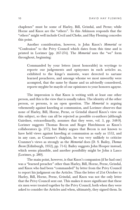chaplenes" must be some of Harley, Bill, Grindal, and Perne; while Horne and Knox are the "others". To this Atkinson responds that the "others" might well include Cecil and Cheke, and Hay Fleming concedes this point.

Another consideration, however, is John Knox's *Memorial* or "Confession" to the Privy Council which dates from this time and is printed in Lorimer (pp. 267-274). The *Memorial* uses the "we" form throughout, beginning:

Commanded by your letters (most honorable) in wrytinge to reporte our judgements and opinyones in such articles as, exhibited to the kinge's maiestie, ware derected to sartane learned preacheres, and amonge whome we most unworthy were acompted, that the same by thame and us advisedly consedered, reporte myghte be mayde of our opiniones to your honores agayne.

The impression is that Knox is writing with at least one other person, and this is the view that is usually taken. The identity of the other person, or persons, is an open question. The *Memorial* is arguing vehemently against kneeling at communion, and Lorimer observes that none of Harley, Bill, Horne, Perne, or Grindal shared Knox's view on this subject, so they can all be rejected as possible co-authors (although Gairdner, extraordinarily, assumes that they were, vol. 3, pp. 348-9). Lorimer suggests Thomas Becon and Roger Hutchinson as Knox's collaborators (p. 277); but Bailey argues that Becon is not known to have held views against kneeling at communion as early as 1552, and in any case, as Cranmer's chaplain, he was very unlikely to criticise Cranmer's views as strongly as the *Memorial* does (D. S. Bailey, *Thomas Becon* (Edinburgh, 1952), pp. 71-6). Bailey suggests John Hooper instead, which seems plausible, and another possibility might be John à Lasco (Lorimer, p. 289).

The main point, however, is that Knox's companion (if he had one) was a "learned preacher" other than Harley, Bill, Horne, Perne, Grindal, and Knox who had been "commanded" by letter from the Privy Council to report his judgment on the Articles. Thus the letter of 21st October to Harley, Bill, Horne, Perne, Grindal, and Knox was not the only letter that the Privy Council sent out. This makes it more significant that these six men were treated together by the Privy Council, both when they were asked to consider the Articles and when, ultimately, they signed them. In